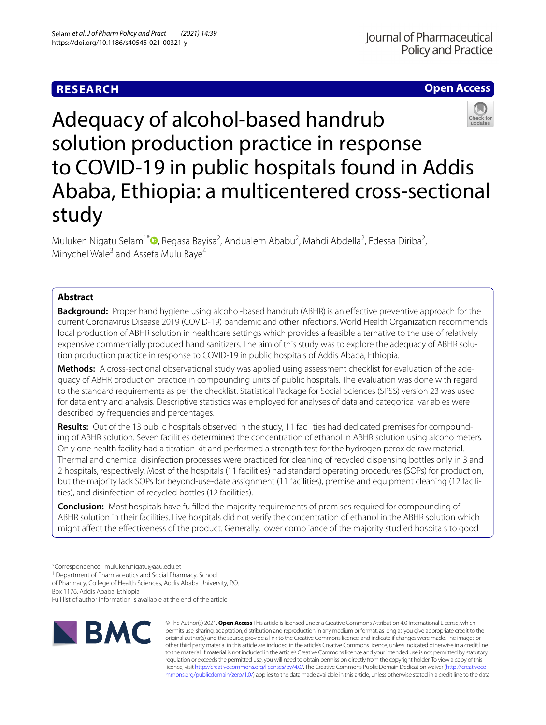# **Open Access**



Adequacy of alcohol-based handrub solution production practice in response to COVID-19 in public hospitals found in Addis Ababa, Ethiopia: a multicentered cross-sectional study

Muluken Nigatu Selam<sup>1\*</sup><sup>®</sup>[,](http://orcid.org/0000-0002-3539-536X) Regasa Bayisa<sup>2</sup>, Andualem Ababu<sup>2</sup>, Mahdi Abdella<sup>2</sup>, Edessa Diriba<sup>2</sup>, Minychel Wale<sup>3</sup> and Assefa Mulu Baye<sup>4</sup>

## **Abstract**

**Background:** Proper hand hygiene using alcohol-based handrub (ABHR) is an effective preventive approach for the current Coronavirus Disease 2019 (COVID-19) pandemic and other infections. World Health Organization recommends local production of ABHR solution in healthcare settings which provides a feasible alternative to the use of relatively expensive commercially produced hand sanitizers. The aim of this study was to explore the adequacy of ABHR solution production practice in response to COVID-19 in public hospitals of Addis Ababa, Ethiopia.

**Methods:** A cross-sectional observational study was applied using assessment checklist for evaluation of the adequacy of ABHR production practice in compounding units of public hospitals. The evaluation was done with regard to the standard requirements as per the checklist. Statistical Package for Social Sciences (SPSS) version 23 was used for data entry and analysis. Descriptive statistics was employed for analyses of data and categorical variables were described by frequencies and percentages.

**Results:** Out of the 13 public hospitals observed in the study, 11 facilities had dedicated premises for compounding of ABHR solution. Seven facilities determined the concentration of ethanol in ABHR solution using alcoholmeters. Only one health facility had a titration kit and performed a strength test for the hydrogen peroxide raw material. Thermal and chemical disinfection processes were practiced for cleaning of recycled dispensing bottles only in 3 and 2 hospitals, respectively. Most of the hospitals (11 facilities) had standard operating procedures (SOPs) for production, but the majority lack SOPs for beyond-use-date assignment (11 facilities), premise and equipment cleaning (12 facilities), and disinfection of recycled bottles (12 facilities).

**Conclusion:** Most hospitals have fulflled the majority requirements of premises required for compounding of ABHR solution in their facilities. Five hospitals did not verify the concentration of ethanol in the ABHR solution which might afect the efectiveness of the product. Generally, lower compliance of the majority studied hospitals to good

<sup>1</sup> Department of Pharmaceutics and Social Pharmacy, School

of Pharmacy, College of Health Sciences, Addis Ababa University, P.O.

Box 1176, Addis Ababa, Ethiopia

Full list of author information is available at the end of the article



© The Author(s) 2021. **Open Access** This article is licensed under a Creative Commons Attribution 4.0 International License, which permits use, sharing, adaptation, distribution and reproduction in any medium or format, as long as you give appropriate credit to the original author(s) and the source, provide a link to the Creative Commons licence, and indicate if changes were made. The images or other third party material in this article are included in the article's Creative Commons licence, unless indicated otherwise in a credit line to the material. If material is not included in the article's Creative Commons licence and your intended use is not permitted by statutory regulation or exceeds the permitted use, you will need to obtain permission directly from the copyright holder. To view a copy of this licence, visit [http://creativecommons.org/licenses/by/4.0/.](http://creativecommons.org/licenses/by/4.0/) The Creative Commons Public Domain Dedication waiver ([http://creativeco](http://creativecommons.org/publicdomain/zero/1.0/) [mmons.org/publicdomain/zero/1.0/](http://creativecommons.org/publicdomain/zero/1.0/)) applies to the data made available in this article, unless otherwise stated in a credit line to the data.

<sup>\*</sup>Correspondence: muluken.nigatu@aau.edu.et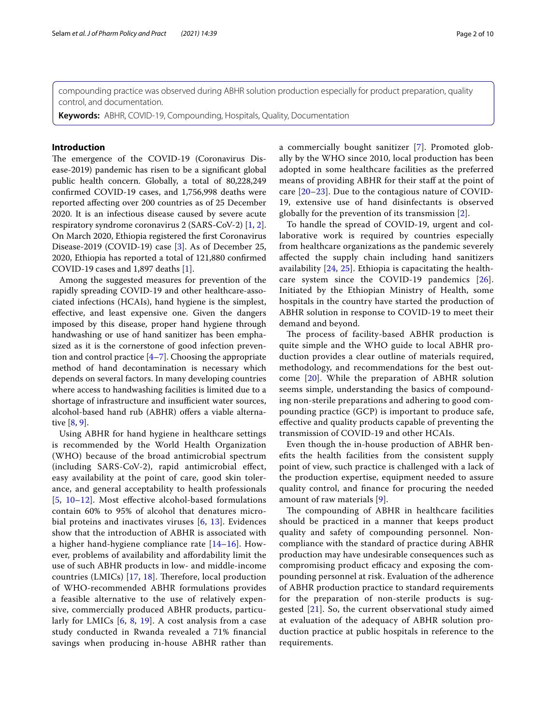compounding practice was observed during ABHR solution production especially for product preparation, quality control, and documentation.

**Keywords:** ABHR, COVID-19, Compounding, Hospitals, Quality, Documentation

#### **Introduction**

The emergence of the COVID-19 (Coronavirus Disease-2019) pandemic has risen to be a signifcant global public health concern. Globally, a total of 80,228,249 confrmed COVID-19 cases, and 1,756,998 deaths were reported afecting over 200 countries as of 25 December 2020. It is an infectious disease caused by severe acute respiratory syndrome coronavirus 2 (SARS-CoV-2) [[1,](#page-8-0) [2](#page-8-1)]. On March 2020, Ethiopia registered the frst Coronavirus Disease-2019 (COVID-19) case [\[3](#page-8-2)]. As of December 25, 2020, Ethiopia has reported a total of 121,880 confrmed COVID-19 cases and 1,897 deaths [[1\]](#page-8-0).

Among the suggested measures for prevention of the rapidly spreading COVID-19 and other healthcare-associated infections (HCAIs), hand hygiene is the simplest, efective, and least expensive one. Given the dangers imposed by this disease, proper hand hygiene through handwashing or use of hand sanitizer has been emphasized as it is the cornerstone of good infection prevention and control practice  $[4-7]$  $[4-7]$ . Choosing the appropriate method of hand decontamination is necessary which depends on several factors. In many developing countries where access to handwashing facilities is limited due to a shortage of infrastructure and insufficient water sources, alcohol-based hand rub (ABHR) offers a viable alternative [\[8,](#page-8-5) [9](#page-8-6)].

Using ABHR for hand hygiene in healthcare settings is recommended by the World Health Organization (WHO) because of the broad antimicrobial spectrum (including SARS-CoV-2), rapid antimicrobial efect, easy availability at the point of care, good skin tolerance, and general acceptability to health professionals [[5](#page-8-7), [10–](#page-8-8)[12](#page-8-9)]. Most efective alcohol-based formulations contain 60% to 95% of alcohol that denatures microbial proteins and inactivates viruses [[6,](#page-8-10) [13\]](#page-8-11). Evidences show that the introduction of ABHR is associated with a higher hand-hygiene compliance rate [\[14](#page-8-12)–[16\]](#page-8-13). However, problems of availability and afordability limit the use of such ABHR products in low- and middle-income countries (LMICs)  $[17, 18]$  $[17, 18]$  $[17, 18]$  $[17, 18]$  $[17, 18]$ . Therefore, local production of WHO-recommended ABHR formulations provides a feasible alternative to the use of relatively expensive, commercially produced ABHR products, particularly for LMICs [[6,](#page-8-10) [8,](#page-8-5) [19](#page-8-16)]. A cost analysis from a case study conducted in Rwanda revealed a 71% fnancial savings when producing in-house ABHR rather than a commercially bought sanitizer [[7\]](#page-8-4). Promoted globally by the WHO since 2010, local production has been adopted in some healthcare facilities as the preferred means of providing ABHR for their staff at the point of care [[20–](#page-8-17)[23\]](#page-8-18). Due to the contagious nature of COVID-19, extensive use of hand disinfectants is observed globally for the prevention of its transmission [[2](#page-8-1)].

To handle the spread of COVID-19, urgent and collaborative work is required by countries especially from healthcare organizations as the pandemic severely afected the supply chain including hand sanitizers availability [\[24](#page-8-19), [25\]](#page-8-20). Ethiopia is capacitating the healthcare system since the COVID-19 pandemics [[26](#page-8-21)]. Initiated by the Ethiopian Ministry of Health, some hospitals in the country have started the production of ABHR solution in response to COVID-19 to meet their demand and beyond.

The process of facility-based ABHR production is quite simple and the WHO guide to local ABHR production provides a clear outline of materials required, methodology, and recommendations for the best outcome [[20\]](#page-8-17). While the preparation of ABHR solution seems simple, understanding the basics of compounding non-sterile preparations and adhering to good compounding practice (GCP) is important to produce safe, efective and quality products capable of preventing the transmission of COVID-19 and other HCAIs.

Even though the in-house production of ABHR benefts the health facilities from the consistent supply point of view, such practice is challenged with a lack of the production expertise, equipment needed to assure quality control, and fnance for procuring the needed amount of raw materials [[9](#page-8-6)].

The compounding of ABHR in healthcare facilities should be practiced in a manner that keeps product quality and safety of compounding personnel. Noncompliance with the standard of practice during ABHR production may have undesirable consequences such as compromising product efficacy and exposing the compounding personnel at risk. Evaluation of the adherence of ABHR production practice to standard requirements for the preparation of non-sterile products is suggested [\[21\]](#page-8-22). So, the current observational study aimed at evaluation of the adequacy of ABHR solution production practice at public hospitals in reference to the requirements.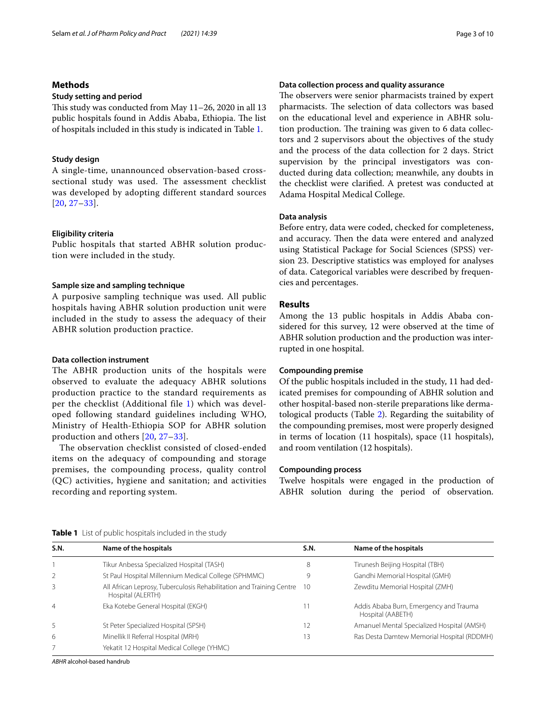### **Methods**

#### **Study setting and period**

This study was conducted from May  $11-26$ , 2020 in all 13 public hospitals found in Addis Ababa, Ethiopia. The list of hospitals included in this study is indicated in Table [1.](#page-2-0)

#### **Study design**

A single-time, unannounced observation-based crosssectional study was used. The assessment checklist was developed by adopting different standard sources [[20](#page-8-17), [27](#page-8-23)–[33\]](#page-9-0).

#### **Eligibility criteria**

Public hospitals that started ABHR solution production were included in the study.

#### **Sample size and sampling technique**

A purposive sampling technique was used. All public hospitals having ABHR solution production unit were included in the study to assess the adequacy of their ABHR solution production practice.

#### **Data collection instrument**

The ABHR production units of the hospitals were observed to evaluate the adequacy ABHR solutions production practice to the standard requirements as per the checklist (Additional file [1](#page-7-0)) which was developed following standard guidelines including WHO, Ministry of Health-Ethiopia SOP for ABHR solution production and others [[20](#page-8-17), [27](#page-8-23)–[33\]](#page-9-0).

The observation checklist consisted of closed-ended items on the adequacy of compounding and storage premises, the compounding process, quality control (QC) activities, hygiene and sanitation; and activities recording and reporting system.

#### **Data collection process and quality assurance**

The observers were senior pharmacists trained by expert pharmacists. The selection of data collectors was based on the educational level and experience in ABHR solution production. The training was given to 6 data collectors and 2 supervisors about the objectives of the study and the process of the data collection for 2 days. Strict supervision by the principal investigators was conducted during data collection; meanwhile, any doubts in the checklist were clarifed. A pretest was conducted at Adama Hospital Medical College.

#### **Data analysis**

Before entry, data were coded, checked for completeness, and accuracy. Then the data were entered and analyzed using Statistical Package for Social Sciences (SPSS) version 23. Descriptive statistics was employed for analyses of data. Categorical variables were described by frequencies and percentages.

#### **Results**

Among the 13 public hospitals in Addis Ababa considered for this survey, 12 were observed at the time of ABHR solution production and the production was interrupted in one hospital.

#### **Compounding premise**

Of the public hospitals included in the study, 11 had dedicated premises for compounding of ABHR solution and other hospital-based non-sterile preparations like dermatological products (Table [2\)](#page-3-0). Regarding the suitability of the compounding premises, most were properly designed in terms of location (11 hospitals), space (11 hospitals), and room ventilation (12 hospitals).

#### **Compounding process**

Twelve hospitals were engaged in the production of ABHR solution during the period of observation.

| S.N.           | Name of the hospitals                                                                        | S.N. | Name of the hospitals                                       |
|----------------|----------------------------------------------------------------------------------------------|------|-------------------------------------------------------------|
|                | Tikur Anbessa Specialized Hospital (TASH)                                                    | 8    | Tirunesh Beijing Hospital (TBH)                             |
| $\mathcal{L}$  | St Paul Hospital Millennium Medical College (SPHMMC)                                         |      | Gandhi Memorial Hospital (GMH)                              |
| 3              | All African Leprosy, Tuberculosis Rehabilitation and Training Centre 10<br>Hospital (ALERTH) |      | Zewditu Memorial Hospital (ZMH)                             |
| $\overline{4}$ | Eka Kotebe General Hospital (EKGH)                                                           |      | Addis Ababa Burn, Emergency and Trauma<br>Hospital (AABETH) |
| 5              | St Peter Specialized Hospital (SPSH)                                                         | 12   | Amanuel Mental Specialized Hospital (AMSH)                  |
| 6              | Minellik II Referral Hospital (MRH)                                                          | 13   | Ras Desta Damtew Memorial Hospital (RDDMH)                  |
|                | Yekatit 12 Hospital Medical College (YHMC)                                                   |      |                                                             |

<span id="page-2-0"></span>**Table 1** List of public hospitals included in the study

*ABHR* alcohol-based handrub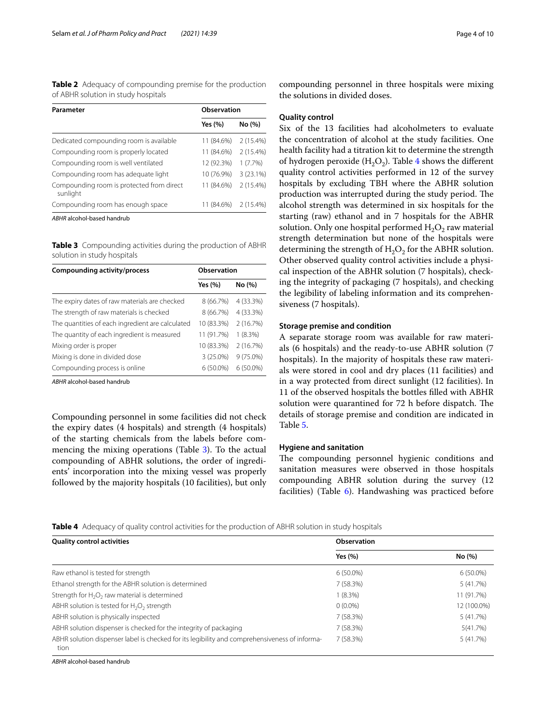<span id="page-3-0"></span>**Table 2** Adequacy of compounding premise for the production of ABHR solution in study hospitals

| Parameter                                             | Observation |             |
|-------------------------------------------------------|-------------|-------------|
|                                                       | Yes (%)     | No (%)      |
| Dedicated compounding room is available               | 11 (84.6%)  | 2 (15.4%)   |
| Compounding room is properly located                  | 11 (84.6%)  | 2 (15.4%)   |
| Compounding room is well ventilated                   | 12 (92.3%)  | $1(7.7\%)$  |
| Compounding room has adequate light                   | 10 (76.9%)  | $3(23.1\%)$ |
| Compounding room is protected from direct<br>sunlight | 11 (84.6%)  | 2 (15.4%)   |
| Compounding room has enough space                     | 11 (84.6%)  | 2(15.4%)    |
| ARHR alcohol-based bandrub                            |             |             |

<span id="page-3-1"></span>**Table 3** Compounding activities during the production of ABHR solution in study hospitals

| Compounding activity/process                     | Observation |             |
|--------------------------------------------------|-------------|-------------|
|                                                  | Yes (%)     | No (%)      |
| The expiry dates of raw materials are checked    | 8 (66.7%)   | 4 (33.3%)   |
| The strength of raw materials is checked         | 8 (66.7%)   | 4 (33.3%)   |
| The quantities of each ingredient are calculated | 10 (83.3%)  | 2(16.7%)    |
| The quantity of each ingredient is measured      | 11 (91.7%)  | 1(8.3%)     |
| Mixing order is proper                           | 10 (83.3%)  | 2(16.7%)    |
| Mixing is done in divided dose                   | $3(25.0\%)$ | $9(75.0\%)$ |
| Compounding process is online                    | $6(50.0\%)$ | $6(50.0\%)$ |

*ABHR* alcohol-based handrub

Compounding personnel in some facilities did not check the expiry dates (4 hospitals) and strength (4 hospitals) of the starting chemicals from the labels before commencing the mixing operations (Table [3\)](#page-3-1). To the actual compounding of ABHR solutions, the order of ingredients' incorporation into the mixing vessel was properly followed by the majority hospitals (10 facilities), but only compounding personnel in three hospitals were mixing the solutions in divided doses.

#### **Quality control**

Six of the 13 facilities had alcoholmeters to evaluate the concentration of alcohol at the study facilities. One health facility had a titration kit to determine the strength of hydrogen peroxide  $(H_2O_2)$ . Table [4](#page-3-2) shows the different quality control activities performed in 12 of the survey hospitals by excluding TBH where the ABHR solution production was interrupted during the study period. The alcohol strength was determined in six hospitals for the starting (raw) ethanol and in 7 hospitals for the ABHR solution. Only one hospital performed  $H_2O_2$  raw material strength determination but none of the hospitals were determining the strength of  $H_2O_2$  for the ABHR solution. Other observed quality control activities include a physical inspection of the ABHR solution (7 hospitals), checking the integrity of packaging (7 hospitals), and checking the legibility of labeling information and its comprehensiveness (7 hospitals).

#### **Storage premise and condition**

A separate storage room was available for raw materials (6 hospitals) and the ready-to-use ABHR solution (7 hospitals). In the majority of hospitals these raw materials were stored in cool and dry places (11 facilities) and in a way protected from direct sunlight (12 facilities). In 11 of the observed hospitals the bottles flled with ABHR solution were quarantined for 72 h before dispatch. The details of storage premise and condition are indicated in Table [5](#page-4-0).

#### **Hygiene and sanitation**

The compounding personnel hygienic conditions and sanitation measures were observed in those hospitals compounding ABHR solution during the survey (12 facilities) (Table [6\)](#page-4-1). Handwashing was practiced before

<span id="page-3-2"></span>**Table 4** Adequacy of quality control activities for the production of ABHR solution in study hospitals

| <b>Quality control activities</b>                                                                     | Observation |             |
|-------------------------------------------------------------------------------------------------------|-------------|-------------|
|                                                                                                       | Yes $(\% )$ | No (%)      |
| Raw ethanol is tested for strength                                                                    | $6(50.0\%)$ | $6(50.0\%)$ |
| Ethanol strength for the ABHR solution is determined                                                  | 7(58.3%)    | 5 (41.7%)   |
| Strength for H <sub>2</sub> O <sub>2</sub> raw material is determined                                 | $1(8.3\%)$  | 11 (91.7%)  |
| ABHR solution is tested for $H_2O_2$ strength                                                         | $0(0.0\%)$  | 12 (100.0%) |
| ABHR solution is physically inspected                                                                 | 7(58.3%)    | 5 (41.7%)   |
| ABHR solution dispenser is checked for the integrity of packaging                                     | 7 (58.3%)   | 5(41.7%)    |
| ABHR solution dispenser label is checked for its legibility and comprehensiveness of informa-<br>tion | 7(58.3%)    | 5 (41.7%)   |

*ABHR* alcohol-based handrub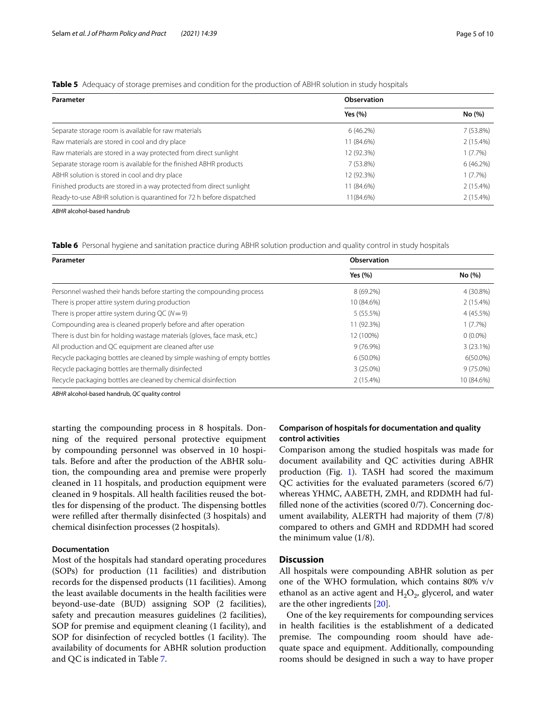#### <span id="page-4-0"></span>**Table 5** Adequacy of storage premises and condition for the production of ABHR solution in study hospitals

| Parameter                                                            | Observation |             |
|----------------------------------------------------------------------|-------------|-------------|
|                                                                      | Yes (%)     | No (%)      |
| Separate storage room is available for raw materials                 | 6(46.2%)    | 7 (53.8%)   |
| Raw materials are stored in cool and dry place                       | 11 (84.6%)  | $2(15.4\%)$ |
| Raw materials are stored in a way protected from direct sunlight     | 12 (92.3%)  | $1(7.7\%)$  |
| Separate storage room is available for the finished ABHR products    | 7 (53.8%)   | 6(46.2%)    |
| ABHR solution is stored in cool and dry place                        | 12 (92.3%)  | $1(7.7\%)$  |
| Finished products are stored in a way protected from direct sunlight | 11 (84.6%)  | $2(15.4\%)$ |
| Ready-to-use ABHR solution is quarantined for 72 h before dispatched | 11(84.6%)   | $2(15.4\%)$ |

*ABHR* alcohol-based handrub

<span id="page-4-1"></span>**Table 6** Personal hygiene and sanitation practice during ABHR solution production and quality control in study hospitals

| Parameter                                                                 | Observation |             |
|---------------------------------------------------------------------------|-------------|-------------|
|                                                                           | Yes $(% )$  | No (%)      |
| Personnel washed their hands before starting the compounding process      | 8 (69.2%)   | 4 (30.8%)   |
| There is proper attire system during production                           | 10 (84.6%)  | $2(15.4\%)$ |
| There is proper attire system during QC ( $N = 9$ )                       | 5(55.5%)    | 4 (45.5%)   |
| Compounding area is cleaned properly before and after operation           | 11 (92.3%)  | $1(7.7\%)$  |
| There is dust bin for holding wastage materials (gloves, face mask, etc.) | 12 (100%)   | $0(0.0\%)$  |
| All production and QC equipment are cleaned after use                     | $9(76.9\%)$ | 3(23.1%)    |
| Recycle packaging bottles are cleaned by simple washing of empty bottles  | $6(50.0\%)$ | $6(50.0\%)$ |
| Recycle packaging bottles are thermally disinfected                       | $3(25.0\%)$ | $9(75.0\%)$ |
| Recycle packaging bottles are cleaned by chemical disinfection            | $2(15.4\%)$ | 10 (84.6%)  |

*ABHR* alcohol-based handrub, *QC* quality control

starting the compounding process in 8 hospitals. Donning of the required personal protective equipment by compounding personnel was observed in 10 hospitals. Before and after the production of the ABHR solution, the compounding area and premise were properly cleaned in 11 hospitals, and production equipment were cleaned in 9 hospitals. All health facilities reused the bottles for dispensing of the product. The dispensing bottles were reflled after thermally disinfected (3 hospitals) and chemical disinfection processes (2 hospitals).

#### **Documentation**

Most of the hospitals had standard operating procedures (SOPs) for production (11 facilities) and distribution records for the dispensed products (11 facilities). Among the least available documents in the health facilities were beyond-use-date (BUD) assigning SOP (2 facilities), safety and precaution measures guidelines (2 facilities), SOP for premise and equipment cleaning (1 facility), and SOP for disinfection of recycled bottles (1 facility). The availability of documents for ABHR solution production and QC is indicated in Table [7](#page-5-0).

#### **Comparison of hospitals for documentation and quality control activities**

Comparison among the studied hospitals was made for document availability and QC activities during ABHR production (Fig. [1](#page-5-1)). TASH had scored the maximum QC activities for the evaluated parameters (scored 6/7) whereas YHMC, AABETH, ZMH, and RDDMH had fulflled none of the activities (scored 0/7). Concerning document availability, ALERTH had majority of them (7/8) compared to others and GMH and RDDMH had scored the minimum value (1/8).

#### **Discussion**

All hospitals were compounding ABHR solution as per one of the WHO formulation, which contains 80% v/v ethanol as an active agent and  $H_2O_2$ , glycerol, and water are the other ingredients [[20\]](#page-8-17).

One of the key requirements for compounding services in health facilities is the establishment of a dedicated premise. The compounding room should have adequate space and equipment. Additionally, compounding rooms should be designed in such a way to have proper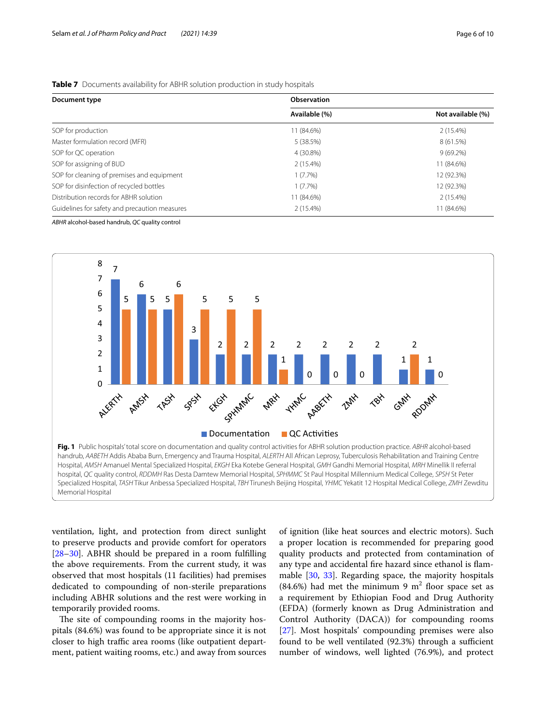#### <span id="page-5-0"></span>**Table 7** Documents availability for ABHR solution production in study hospitals

| Document type                                 | Observation   |                   |  |
|-----------------------------------------------|---------------|-------------------|--|
|                                               | Available (%) | Not available (%) |  |
| SOP for production                            | 11 (84.6%)    | $2(15.4\%)$       |  |
| Master formulation record (MFR)               | 5(38.5%)      | 8 (61.5%)         |  |
| SOP for QC operation                          | 4 (30.8%)     | $9(69.2\%)$       |  |
| SOP for assigning of BUD                      | $2(15.4\%)$   | 11 (84.6%)        |  |
| SOP for cleaning of premises and equipment    | $1(7.7\%)$    | 12 (92.3%)        |  |
| SOP for disinfection of recycled bottles      | $1(7.7\%)$    | 12 (92.3%)        |  |
| Distribution records for ABHR solution        | 11 (84.6%)    | $2(15.4\%)$       |  |
| Guidelines for safety and precaution measures | $2(15.4\%)$   | 11 (84.6%)        |  |

*ABHR* alcohol-based handrub, *QC* quality control



<span id="page-5-1"></span>ventilation, light, and protection from direct sunlight to preserve products and provide comfort for operators [[28–](#page-8-24)[30](#page-8-25)]. ABHR should be prepared in a room fulflling the above requirements. From the current study, it was observed that most hospitals (11 facilities) had premises dedicated to compounding of non-sterile preparations including ABHR solutions and the rest were working in temporarily provided rooms.

The site of compounding rooms in the majority hospitals (84.6%) was found to be appropriate since it is not closer to high traffic area rooms (like outpatient department, patient waiting rooms, etc.) and away from sources of ignition (like heat sources and electric motors). Such a proper location is recommended for preparing good quality products and protected from contamination of any type and accidental fre hazard since ethanol is fammable [[30,](#page-8-25) [33\]](#page-9-0). Regarding space, the majority hospitals  $(84.6%)$  had met the minimum 9 m<sup>2</sup> floor space set as a requirement by Ethiopian Food and Drug Authority (EFDA) (formerly known as Drug Administration and Control Authority (DACA)) for compounding rooms [[27\]](#page-8-23). Most hospitals' compounding premises were also found to be well ventilated  $(92.3%)$  through a sufficient number of windows, well lighted (76.9%), and protect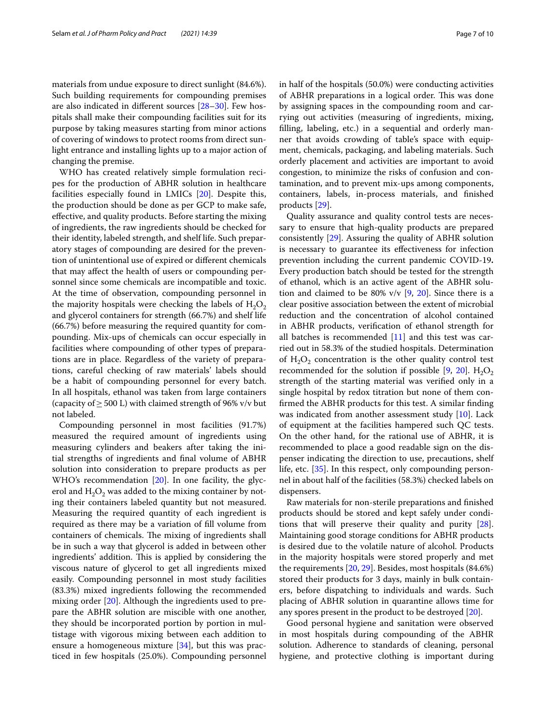materials from undue exposure to direct sunlight (84.6%). Such building requirements for compounding premises are also indicated in diferent sources [[28](#page-8-24)[–30](#page-8-25)]. Few hospitals shall make their compounding facilities suit for its purpose by taking measures starting from minor actions of covering of windows to protect rooms from direct sunlight entrance and installing lights up to a major action of changing the premise.

WHO has created relatively simple formulation recipes for the production of ABHR solution in healthcare facilities especially found in LMICs [\[20](#page-8-17)]. Despite this, the production should be done as per GCP to make safe, efective, and quality products. Before starting the mixing of ingredients, the raw ingredients should be checked for their identity, labeled strength, and shelf life. Such preparatory stages of compounding are desired for the prevention of unintentional use of expired or diferent chemicals that may afect the health of users or compounding personnel since some chemicals are incompatible and toxic. At the time of observation, compounding personnel in the majority hospitals were checking the labels of  $H_2O_2$ and glycerol containers for strength (66.7%) and shelf life (66.7%) before measuring the required quantity for compounding. Mix-ups of chemicals can occur especially in facilities where compounding of other types of preparations are in place. Regardless of the variety of preparations, careful checking of raw materials' labels should be a habit of compounding personnel for every batch. In all hospitals, ethanol was taken from large containers (capacity of  $\geq$  500 L) with claimed strength of 96% v/v but not labeled.

Compounding personnel in most facilities (91.7%) measured the required amount of ingredients using measuring cylinders and beakers after taking the initial strengths of ingredients and fnal volume of ABHR solution into consideration to prepare products as per WHO's recommendation [\[20\]](#page-8-17). In one facility, the glycerol and  $H_2O_2$  was added to the mixing container by noting their containers labeled quantity but not measured. Measuring the required quantity of each ingredient is required as there may be a variation of fll volume from containers of chemicals. The mixing of ingredients shall be in such a way that glycerol is added in between other ingredients' addition. This is applied by considering the viscous nature of glycerol to get all ingredients mixed easily. Compounding personnel in most study facilities (83.3%) mixed ingredients following the recommended mixing order [\[20](#page-8-17)]. Although the ingredients used to prepare the ABHR solution are miscible with one another, they should be incorporated portion by portion in multistage with vigorous mixing between each addition to ensure a homogeneous mixture [[34](#page-9-1)], but this was practiced in few hospitals (25.0%). Compounding personnel in half of the hospitals (50.0%) were conducting activities of ABHR preparations in a logical order. This was done by assigning spaces in the compounding room and carrying out activities (measuring of ingredients, mixing, flling, labeling, etc.) in a sequential and orderly manner that avoids crowding of table's space with equipment, chemicals, packaging, and labeling materials. Such orderly placement and activities are important to avoid congestion, to minimize the risks of confusion and contamination, and to prevent mix-ups among components, containers, labels, in-process materials, and fnished products [[29\]](#page-8-26).

Quality assurance and quality control tests are necessary to ensure that high-quality products are prepared consistently [\[29](#page-8-26)]. Assuring the quality of ABHR solution is necessary to guarantee its efectiveness for infection prevention including the current pandemic COVID-19**.** Every production batch should be tested for the strength of ethanol, which is an active agent of the ABHR solution and claimed to be 80%  $v/v$  [\[9](#page-8-6), [20\]](#page-8-17). Since there is a clear positive association between the extent of microbial reduction and the concentration of alcohol contained in ABHR products, verifcation of ethanol strength for all batches is recommended [[11\]](#page-8-27) and this test was carried out in 58.3% of the studied hospitals. Determination of  $H_2O_2$  concentration is the other quality control test recommended for the solution if possible [[9](#page-8-6), [20](#page-8-17)].  $H_2O_2$ strength of the starting material was verifed only in a single hospital by redox titration but none of them confrmed the ABHR products for this test. A similar fnding was indicated from another assessment study [[10](#page-8-8)]. Lack of equipment at the facilities hampered such QC tests. On the other hand, for the rational use of ABHR, it is recommended to place a good readable sign on the dispenser indicating the direction to use, precautions, shelf life, etc. [\[35\]](#page-9-2). In this respect, only compounding personnel in about half of the facilities (58.3%) checked labels on dispensers.

Raw materials for non-sterile preparations and fnished products should be stored and kept safely under conditions that will preserve their quality and purity [\[28](#page-8-24)]. Maintaining good storage conditions for ABHR products is desired due to the volatile nature of alcohol. Products in the majority hospitals were stored properly and met the requirements [\[20,](#page-8-17) [29](#page-8-26)]. Besides, most hospitals (84.6%) stored their products for 3 days, mainly in bulk containers, before dispatching to individuals and wards. Such placing of ABHR solution in quarantine allows time for any spores present in the product to be destroyed [[20](#page-8-17)].

Good personal hygiene and sanitation were observed in most hospitals during compounding of the ABHR solution. Adherence to standards of cleaning, personal hygiene, and protective clothing is important during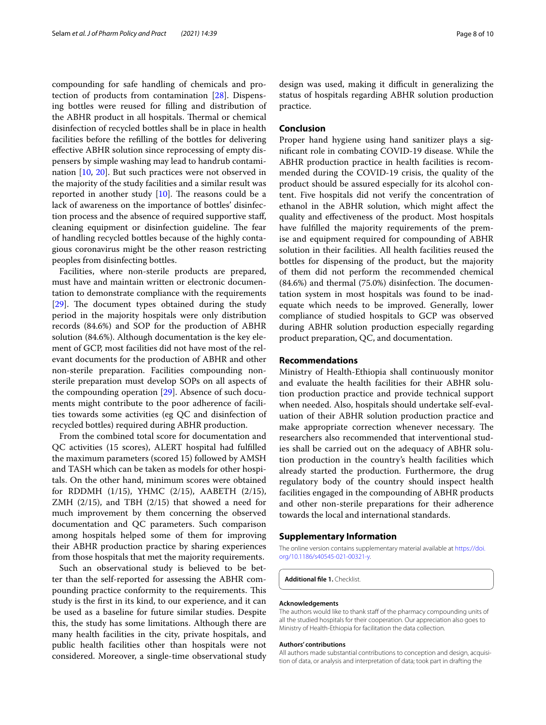compounding for safe handling of chemicals and protection of products from contamination [[28](#page-8-24)]. Dispensing bottles were reused for flling and distribution of the ABHR product in all hospitals. Thermal or chemical disinfection of recycled bottles shall be in place in health facilities before the reflling of the bottles for delivering efective ABHR solution since reprocessing of empty dispensers by simple washing may lead to handrub contamination [\[10](#page-8-8), [20](#page-8-17)]. But such practices were not observed in the majority of the study facilities and a similar result was reported in another study  $[10]$  $[10]$ . The reasons could be a lack of awareness on the importance of bottles' disinfection process and the absence of required supportive staf, cleaning equipment or disinfection guideline. The fear of handling recycled bottles because of the highly contagious coronavirus might be the other reason restricting peoples from disinfecting bottles.

Facilities, where non-sterile products are prepared, must have and maintain written or electronic documentation to demonstrate compliance with the requirements  $[29]$  $[29]$ . The document types obtained during the study period in the majority hospitals were only distribution records (84.6%) and SOP for the production of ABHR solution (84.6%). Although documentation is the key element of GCP, most facilities did not have most of the relevant documents for the production of ABHR and other non-sterile preparation. Facilities compounding nonsterile preparation must develop SOPs on all aspects of the compounding operation [\[29](#page-8-26)]. Absence of such documents might contribute to the poor adherence of facilities towards some activities (eg QC and disinfection of recycled bottles) required during ABHR production.

From the combined total score for documentation and QC activities (15 scores), ALERT hospital had fulflled the maximum parameters (scored 15) followed by AMSH and TASH which can be taken as models for other hospitals. On the other hand, minimum scores were obtained for RDDMH (1/15), YHMC (2/15), AABETH (2/15), ZMH (2/15), and TBH (2/15) that showed a need for much improvement by them concerning the observed documentation and QC parameters. Such comparison among hospitals helped some of them for improving their ABHR production practice by sharing experiences from those hospitals that met the majority requirements.

Such an observational study is believed to be better than the self-reported for assessing the ABHR compounding practice conformity to the requirements. This study is the frst in its kind, to our experience, and it can be used as a baseline for future similar studies. Despite this, the study has some limitations. Although there are many health facilities in the city, private hospitals, and public health facilities other than hospitals were not considered. Moreover, a single-time observational study design was used, making it difficult in generalizing the status of hospitals regarding ABHR solution production practice.

#### **Conclusion**

Proper hand hygiene using hand sanitizer plays a signifcant role in combating COVID-19 disease. While the ABHR production practice in health facilities is recommended during the COVID-19 crisis, the quality of the product should be assured especially for its alcohol content. Five hospitals did not verify the concentration of ethanol in the ABHR solution, which might afect the quality and efectiveness of the product. Most hospitals have fulflled the majority requirements of the premise and equipment required for compounding of ABHR solution in their facilities. All health facilities reused the bottles for dispensing of the product, but the majority of them did not perform the recommended chemical  $(84.6%)$  and thermal  $(75.0%)$  disinfection. The documentation system in most hospitals was found to be inadequate which needs to be improved. Generally, lower compliance of studied hospitals to GCP was observed during ABHR solution production especially regarding product preparation, QC, and documentation.

#### **Recommendations**

Ministry of Health-Ethiopia shall continuously monitor and evaluate the health facilities for their ABHR solution production practice and provide technical support when needed. Also, hospitals should undertake self-evaluation of their ABHR solution production practice and make appropriate correction whenever necessary. The researchers also recommended that interventional studies shall be carried out on the adequacy of ABHR solution production in the country's health facilities which already started the production. Furthermore, the drug regulatory body of the country should inspect health facilities engaged in the compounding of ABHR products and other non-sterile preparations for their adherence towards the local and international standards.

#### **Supplementary Information**

The online version contains supplementary material available at [https://doi.](https://doi.org/10.1186/s40545-021-00321-y) [org/10.1186/s40545-021-00321-y.](https://doi.org/10.1186/s40545-021-00321-y)

<span id="page-7-0"></span>**Additional fle 1.** Checklist.

#### **Acknowledgements**

The authors would like to thank staff of the pharmacy compounding units of all the studied hospitals for their cooperation. Our appreciation also goes to Ministry of Health-Ethiopia for facilitation the data collection.

#### **Authors' contributions**

All authors made substantial contributions to conception and design, acquisition of data, or analysis and interpretation of data; took part in drafting the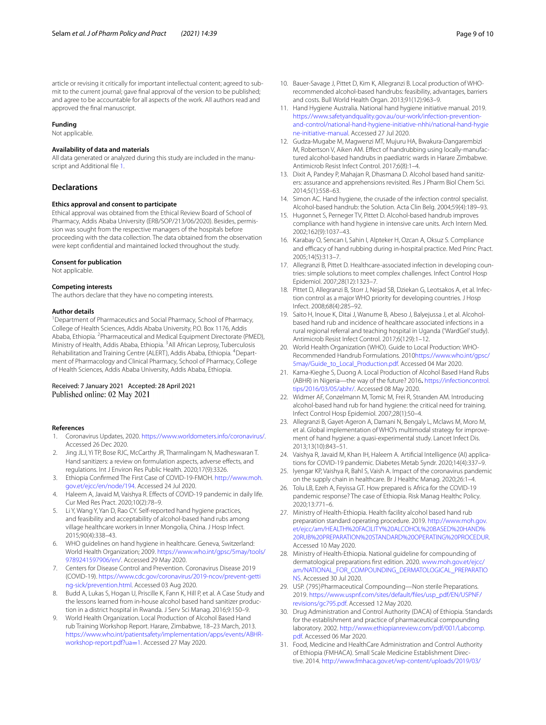article or revising it critically for important intellectual content; agreed to submit to the current journal; gave fnal approval of the version to be published; and agree to be accountable for all aspects of the work. All authors read and approved the fnal manuscript.

#### **Funding**

Not applicable.

#### **Availability of data and materials**

All data generated or analyzed during this study are included in the manuscript and Additional fle [1.](#page-7-0)

#### **Declarations**

#### **Ethics approval and consent to participate**

Ethical approval was obtained from the Ethical Review Board of School of Pharmacy, Addis Ababa University (ERB/SOP/213/06/2020). Besides, permission was sought from the respective managers of the hospitals before proceeding with the data collection. The data obtained from the observation were kept confdential and maintained locked throughout the study.

#### **Consent for publication**

Not applicable.

#### **Competing interests**

The authors declare that they have no competing interests.

#### **Author details**

<sup>1</sup> Department of Pharmaceutics and Social Pharmacy, School of Pharmacy, College of Health Sciences, Addis Ababa University, P.O. Box 1176, Addis Ababa, Ethiopia. <sup>2</sup> Pharmaceutical and Medical Equipment Directorate (PMED), Ministry of Health, Addis Ababa, Ethiopia. <sup>3</sup> All African Leprosy, Tuberculosis Rehabilitation and Training Centre (ALERT), Addis Ababa, Ethiopia. <sup>4</sup>Department of Pharmacology and Clinical Pharmacy, School of Pharmacy, College of Health Sciences, Addis Ababa University, Addis Ababa, Ethiopia.

# Received: 7 January 2021 Accepted: 28 April 2021<br>Published online: 02 May 2021

#### **References**

- <span id="page-8-0"></span>1. Coronavirus Updates, 2020. [https://www.worldometers.info/coronavirus/.](https://www.worldometers.info/coronavirus/) Accessed 26 Dec 2020.
- <span id="page-8-1"></span>2. Jing JLJ, Yi TP, Bose RJC, McCarthy JR, Tharmalingam N, Madheswaran T. Hand sanitizers: a review on formulation aspects, adverse efects, and regulations. Int J Environ Res Public Health. 2020;17(9):3326.
- <span id="page-8-2"></span>3. Ethiopia Confrmed The First Case of COVID-19-FMOH. [http://www.moh.](http://www.moh.gov.et/ejcc/en/node/194) [gov.et/ejcc/en/node/194.](http://www.moh.gov.et/ejcc/en/node/194) Accessed 24 Jul 2020.
- <span id="page-8-3"></span>4. Haleem A, Javaid M, Vaishya R. Efects of COVID-19 pandemic in daily life. Cur Med Res Pract. 2020;10(2):78–9.
- <span id="page-8-7"></span>5. Li Y, Wang Y, Yan D, Rao CY. Self-reported hand hygiene practices, and feasibility and acceptability of alcohol-based hand rubs among village healthcare workers in Inner Mongolia, China. J Hosp Infect. 2015;90(4):338–43.
- <span id="page-8-10"></span>6. WHO guidelines on hand hygiene in healthcare. Geneva, Switzerland: World Health Organization; 2009. [https://www.who.int/gpsc/5may/tools/](https://www.who.int/gpsc/5may/tools/9789241597906/en/) [9789241597906/en/](https://www.who.int/gpsc/5may/tools/9789241597906/en/). Accessed 29 May 2020.
- <span id="page-8-4"></span>7. Centers for Disease Control and Prevention. Coronavirus Disease 2019 (COVID-19). [https://www.cdc.gov/coronavirus/2019-ncov/prevent-getti](https://www.cdc.gov/coronavirus/2019-ncov/prevent-getting-sick/prevention.html) [ng-sick/prevention.html.](https://www.cdc.gov/coronavirus/2019-ncov/prevent-getting-sick/prevention.html) Accessed 03 Aug 2020.
- <span id="page-8-5"></span>8. Budd A, Lukas S, Hogan U, Priscille K, Fann K, Hill P, et al. A Case Study and the lessons learned from in-house alcohol based hand sanitizer production in a district hospital in Rwanda. J Serv Sci Manag. 2016;9:150–9.
- <span id="page-8-6"></span>9. World Health Organization. Local Production of Alcohol Based Hand rub Training Workshop Report. Harare, Zimbabwe, 18–23 March, 2013. [https://www.who.int/patientsafety/implementation/apps/events/ABHR](https://www.who.int/patientsafety/implementation/apps/events/ABHR-workshop-report.pdf?ua=1)[workshop-report.pdf?ua](https://www.who.int/patientsafety/implementation/apps/events/ABHR-workshop-report.pdf?ua=1)=1. Accessed 27 May 2020.
- <span id="page-8-8"></span>10. Bauer-Savage J, Pittet D, Kim K, Allegranzi B. Local production of WHOrecommended alcohol-based handrubs: feasibility, advantages, barriers and costs. Bull World Health Organ. 2013;91(12):963–9.
- <span id="page-8-27"></span>11. Hand Hygiene Australia. National hand hygiene initiative manual. 2019. [https://www.safetyandquality.gov.au/our-work/infection-prevention](https://www.safetyandquality.gov.au/our-work/infection-prevention-and-control/national-hand-hygiene-initiative-nhhi/national-hand-hygiene-initiative-manual)[and-control/national-hand-hygiene-initiative-nhhi/national-hand-hygie](https://www.safetyandquality.gov.au/our-work/infection-prevention-and-control/national-hand-hygiene-initiative-nhhi/national-hand-hygiene-initiative-manual) [ne-initiative-manual](https://www.safetyandquality.gov.au/our-work/infection-prevention-and-control/national-hand-hygiene-initiative-nhhi/national-hand-hygiene-initiative-manual). Accessed 27 Jul 2020.
- <span id="page-8-9"></span>12. Gudza-Mugabe M, Magwenzi MT, Mujuru HA, Bwakura-Dangarembizi M, Robertson V, Aiken AM. Efect of handrubbing using locally-manufactured alcohol-based handrubs in paediatric wards in Harare Zimbabwe. Antimicrob Resist Infect Control. 2017;6(8):1–4.
- <span id="page-8-11"></span>13. Dixit A, Pandey P, Mahajan R, Dhasmana D. Alcohol based hand sanitizers: assurance and apprehensions revisited. Res J Pharm Biol Chem Sci. 2014;5(1):558–63.
- <span id="page-8-12"></span>14. Simon AC. Hand hygiene, the crusade of the infection control specialist. Alcohol-based handrub: the Solution. Acta Clin Belg. 2004;59(4):189–93.
- 15. Hugonnet S, Perneger TV, Pittet D. Alcohol-based handrub improves compliance with hand hygiene in intensive care units. Arch Intern Med. 2002;162(9):1037–43.
- <span id="page-8-13"></span>16. Karabay O, Sencan I, Sahin I, Alpteker H, Ozcan A, Oksuz S. Compliance and efficacy of hand rubbing during in-hospital practice. Med Princ Pract. 2005;14(5):313–7.
- <span id="page-8-14"></span>17. Allegranzi B, Pittet D. Healthcare-associated infection in developing countries: simple solutions to meet complex challenges. Infect Control Hosp Epidemiol. 2007;28(12):1323–7.
- <span id="page-8-15"></span>18. Pittet D, Allegranzi B, Storr J, Nejad SB, Dziekan G, Leotsakos A, et al. Infection control as a major WHO priority for developing countries. J Hosp Infect. 2008;68(4):285–92.
- <span id="page-8-16"></span>19. Saito H, Inoue K, Ditai J, Wanume B, Abeso J, Balyejussa J, et al. Alcoholbased hand rub and incidence of healthcare associated infections in a rural regional referral and teaching hospital in Uganda ('WardGel' study). Antimicrob Resist Infect Control. 2017;6(129):1–12.
- <span id="page-8-17"></span>20. World Health Organization (WHO). Guide to Local Production: WHO-Recommended Handrub Formulations. 2010[https://www.who.int/gpsc/](https://www.who.int/gpsc/5may/Guide_to_Local_Production.pdf) [5may/Guide\\_to\\_Local\\_Production.pdf](https://www.who.int/gpsc/5may/Guide_to_Local_Production.pdf). Accessed 04 Mar 2020.
- <span id="page-8-22"></span>21. Kama-Kieghe S, Duong A. Local Production of Alcohol Based Hand Rubs (ABHR) in Nigeria—the way of the future? 2016**.** [https://infectioncontrol.](https://infectioncontrol.tips/2016/03/05/abhr/) [tips/2016/03/05/abhr/.](https://infectioncontrol.tips/2016/03/05/abhr/) Accessed 08 May 2020.
- 22. Widmer AF, Conzelmann M, Tomic M, Frei R, Stranden AM. Introducing alcohol-based hand rub for hand hygiene: the critical need for training. Infect Control Hosp Epidemiol. 2007;28(1):50–4.
- <span id="page-8-18"></span>23. Allegranzi B, Gayet-Ageron A, Damani N, Bengaly L, Mclaws M, Moro M, et al. Global implementation of WHO's multimodal strategy for improvement of hand hygiene: a quasi-experimental study. Lancet Infect Dis. 2013;13(10):843–51.
- <span id="page-8-19"></span>24. Vaishya R, Javaid M, Khan IH, Haleem A. Artifcial Intelligence (AI) applications for COVID-19 pandemic. Diabetes Metab Syndr. 2020;14(4):337–9.
- <span id="page-8-20"></span>25. Iyengar KP, Vaishya R, Bahl S, Vaish A. Impact of the coronavirus pandemic on the supply chain in healthcare. Br J Healthc Manag. 2020;26:1–4.
- <span id="page-8-21"></span>26. Tolu LB, Ezeh A, Feyissa GT. How prepared is Africa for the COVID-19 pandemic response? The case of Ethiopia. Risk Manag Healthc Policy. 2020;13:771–6.
- <span id="page-8-23"></span>27. Ministry of Health-Ethiopia. Health facility alcohol based hand rub preparation standard operating procedure. 2019. [http://www.moh.gov.](http://www.moh.gov.et/ejcc/am/HEALTH%20FACILITY%20ALCOHOL%20BASED%20HAND%20RUB%20PREPARATION%20STANDARD%20OPERATING%20PROCEDUR) [et/ejcc/am/HEALTH%20FACILITY%20ALCOHOL%20BASED%20HAND%](http://www.moh.gov.et/ejcc/am/HEALTH%20FACILITY%20ALCOHOL%20BASED%20HAND%20RUB%20PREPARATION%20STANDARD%20OPERATING%20PROCEDUR) [20RUB%20PREPARATION%20STANDARD%20OPERATING%20PROCEDUR](http://www.moh.gov.et/ejcc/am/HEALTH%20FACILITY%20ALCOHOL%20BASED%20HAND%20RUB%20PREPARATION%20STANDARD%20OPERATING%20PROCEDUR). Accessed 10 May 2020.
- <span id="page-8-24"></span>28. Ministry of Health-Ethiopia. National guideline for compounding of dermatological preparations frst edition. 2020. [www.moh.gov.et/ejcc/](http://www.moh.gov.et/ejcc/am/NATIONAL_FOR_COMPOUNDING_DERMATOLOGICAL_PREPARATIONS) [am/NATIONAL\\_FOR\\_COMPOUNDING\\_DERMATOLOGICAL\\_PREPARATIO](http://www.moh.gov.et/ejcc/am/NATIONAL_FOR_COMPOUNDING_DERMATOLOGICAL_PREPARATIONS) [NS.](http://www.moh.gov.et/ejcc/am/NATIONAL_FOR_COMPOUNDING_DERMATOLOGICAL_PREPARATIONS) Accessed 30 Jul 2020.
- <span id="page-8-26"></span>29. USP. 〈795〉Pharmaceutical Compounding—Non sterile Preparations. 2019. [https://www.uspnf.com/sites/default/fles/usp\\_pdf/EN/USPNF/](https://www.uspnf.com/sites/default/files/usp_pdf/EN/USPNF/revisions/gc795.pdf) [revisions/gc795.pdf.](https://www.uspnf.com/sites/default/files/usp_pdf/EN/USPNF/revisions/gc795.pdf) Accessed 12 May 2020.
- <span id="page-8-25"></span>30. Drug Administration and Control Authority (DACA) of Ethiopia. Standards for the establishment and practice of pharmaceutical compounding laboratory. 2002. [http://www.ethiopianreview.com/pdf/001/Labcomp.](http://www.ethiopianreview.com/pdf/001/Labcomp.pdf) [pdf.](http://www.ethiopianreview.com/pdf/001/Labcomp.pdf) Accessed 06 Mar 2020.
- 31. Food, Medicine and HealthCare Administration and Control Authority of Ethiopia (FMHACA). Small Scale Medicine Establishment Directive. 2014. [http://www.fmhaca.gov.et/wp-content/uploads/2019/03/](http://www.fmhaca.gov.et/wp-content/uploads/2019/03/Small-Scale-Medicine-Establishment-Directive.pdf)